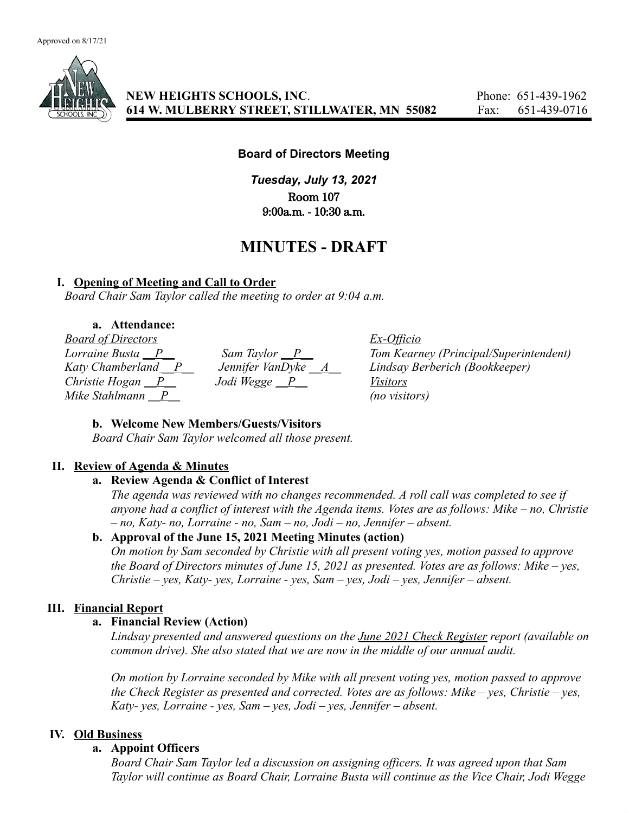

**NEW HEIGHTS SCHOOLS, INC**. Phone: 651-439-1962 **614 W. MULBERRY STREET, STILLWATER, MN 55082** Fax: 651-439-0716

#### **Board of Directors Meeting**

*Tuesday, July 13, 2021* Room 107 9:00a.m. - 10:30 a.m.

# **MINUTES - DRAFT**

#### **I. Opening of Meeting and Call to Order**

*Board Chair Sam Taylor called the meeting to order at 9:04 a.m.*

## **a. Attendance:**

*Board of Directors*<br> *Lorraine Busta* <u>P</u><br> *Katy Chamberland* P *Jennifer VanTwlee A Tom Kearn*<br> *Lennifer VanTwlee A Tom Kearn Mike Stahlmann \_\_P\_\_ (no visitors)*

*Christie Hogan \_\_P\_\_ Jodi Wegge \_\_P\_\_ Visitors*

*Lorraine Busta \_\_P\_\_\_\_\_\_\_\_\_\_\_\_Sam Taylor \_\_P\_\_\_\_\_\_\_\_\_\_\_\_\_\_\_\_Tom Kearney (Principal/Superintendent)*<br>Katy Chamberland *\_\_P* \_\_\_\_\_\_\_*Jennifer VanDyke* \_\_A\_\_\_\_\_\_\_\_\_\_Lindsay Berberich (Bookkeeper) *Katy Chandred <i>Zaty Chamber VanDyke \_\_<u>A</u>\_\_ <i>Lindsay Berberich (Bookkeeper) Visitors* 

#### **b. Welcome New Members/Guests/Visitors**

*Board Chair Sam Taylor welcomed all those present.*

#### **II. Review of Agenda & Minutes**

## **a. Review Agenda & Conflict of Interest**

*The agenda was reviewed with no changes recommended. A roll call was completed to see if anyone had a conflict of interest with the Agenda items. Votes are as follows: Mike – no, Christie – no, Katy- no, Lorraine - no, Sam – no, Jodi – no, Jennifer – absent.*

#### **b. Approval of the June 15, 2021 Meeting Minutes (action)**

*On motion by Sam seconded by Christie with all present voting yes, motion passed to approve the Board of Directors minutes of June 15, 2021 as presented. Votes are as follows: Mike – yes, Christie – yes, Katy- yes, Lorraine - yes, Sam – yes, Jodi – yes, Jennifer – absent.*

#### **III. Financial Report**

#### **a. Financial Review (Action)**

*Lindsay presented and answered questions on the June 2021 Check Register report (available on common drive). She also stated that we are now in the middle of our annual audit.*

*On motion by Lorraine seconded by Mike with all present voting yes, motion passed to approve the Check Register as presented and corrected. Votes are as follows: Mike – yes, Christie – yes, Katy- yes, Lorraine - yes, Sam – yes, Jodi – yes, Jennifer – absent.*

#### **IV. Old Business**

#### **a. Appoint Officers**

*Board Chair Sam Taylor led a discussion on assigning officers. It was agreed upon that Sam Taylor will continue as Board Chair, Lorraine Busta will continue as the Vice Chair, Jodi Wegge*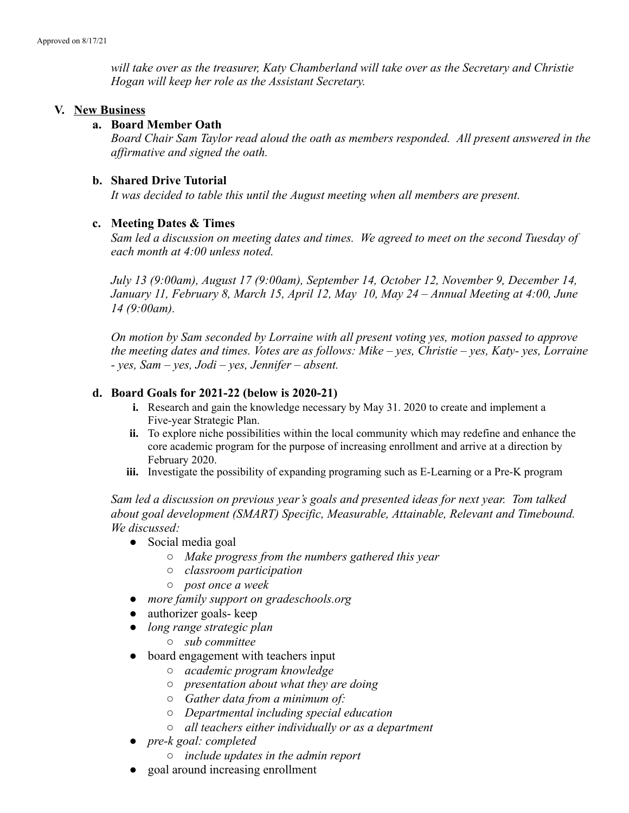*will take over as the treasurer, Katy Chamberland will take over as the Secretary and Christie Hogan will keep her role as the Assistant Secretary.*

#### **V. New Business**

## **a. Board Member Oath**

*Board Chair Sam Taylor read aloud the oath as members responded. All present answered in the affirmative and signed the oath.*

## **b. Shared Drive Tutorial**

*It was decided to table this until the August meeting when all members are present.*

## **c. Meeting Dates & Times**

*Sam led a discussion on meeting dates and times. We agreed to meet on the second Tuesday of each month at 4:00 unless noted.*

*July 13 (9:00am), August 17 (9:00am), September 14, October 12, November 9, December 14, January 11, February 8, March 15, April 12, May 10, May 24 – Annual Meeting at 4:00, June 14 (9:00am).*

*On motion by Sam seconded by Lorraine with all present voting yes, motion passed to approve the meeting dates and times. Votes are as follows: Mike – yes, Christie – yes, Katy- yes, Lorraine - yes, Sam – yes, Jodi – yes, Jennifer – absent.*

## **d. Board Goals for 2021-22 (below is 2020-21)**

- **i.** Research and gain the knowledge necessary by May 31. 2020 to create and implement a Five-year Strategic Plan.
- **ii.** To explore niche possibilities within the local community which may redefine and enhance the core academic program for the purpose of increasing enrollment and arrive at a direction by February 2020.
- **iii.** Investigate the possibility of expanding programing such as E-Learning or a Pre-K program

*Sam led a discussion on previous year's goals and presented ideas for next year. Tom talked about goal development (SMART) Specific, Measurable, Attainable, Relevant and Timebound. We discussed:*

- Social media goal
	- *○ Make progress from the numbers gathered this year*
	- *○ classroom participation*
	- *○ post once a week*
- *● more family support on gradeschools.org*
- authorizer goals- keep
- *● long range strategic plan*
	- *○ sub committee*
- board engagement with teachers input
	- *○ academic program knowledge*
	- *○ presentation about what they are doing*
	- *○ Gather data from a minimum of:*
	- *○ Departmental including special education*
	- *○ all teachers either individually or as a department*
- *● pre-k goal: completed*
	- *○ include updates in the admin report*
- goal around increasing enrollment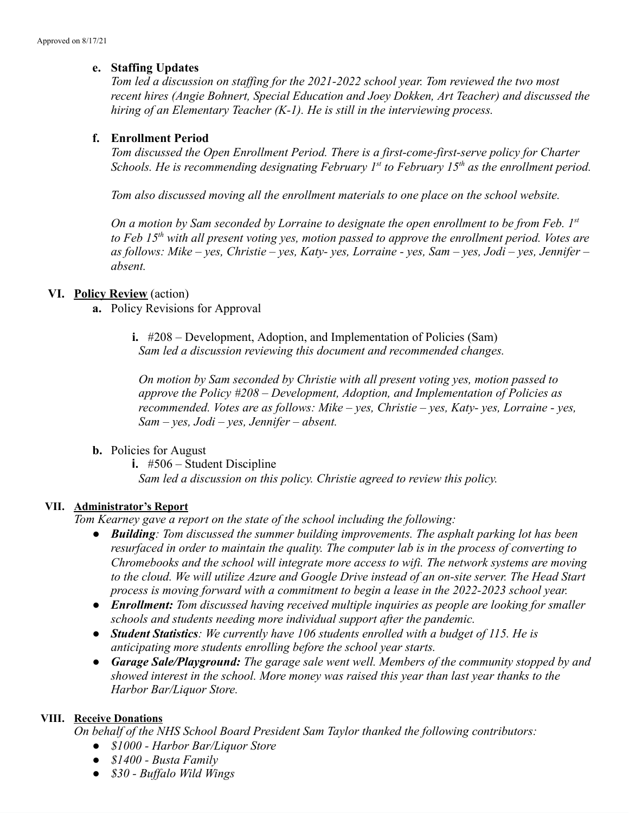# **e. Staffing Updates**

*Tom led a discussion on staffing for the 2021-2022 school year. Tom reviewed the two most recent hires (Angie Bohnert, Special Education and Joey Dokken, Art Teacher) and discussed the hiring of an Elementary Teacher (K-1). He is still in the interviewing process.*

# **f. Enrollment Period**

*Tom discussed the Open Enrollment Period. There is a first-come-first-serve policy for Charter Schools. He is recommending designating February 1 st to February 15th as the enrollment period.*

*Tom also discussed moving all the enrollment materials to one place on the school website.*

On a motion by Sam seconded by Lorraine to designate the open enrollment to be from Feb. 1st *to Feb 15th with all present voting yes, motion passed to approve the enrollment period. Votes are* as follows: Mike - yes, Christie - yes, Katy- yes, Lorraine - yes, Sam - yes, Jodi - yes, Jennifer *absent.*

## **VI. Policy Review** (action)

- **a.** Policy Revisions for Approval
	- **i.** #208 Development, Adoption, and Implementation of Policies (Sam) *Sam led a discussion reviewing this document and recommended changes.*

*On motion by Sam seconded by Christie with all present voting yes, motion passed to approve the Policy #208 – Development, Adoption, and Implementation of Policies as recommended. Votes are as follows: Mike – yes, Christie – yes, Katy- yes, Lorraine - yes, Sam – yes, Jodi – yes, Jennifer – absent.*

# **b.** Policies for August

**i.** #506 – Student Discipline

*Sam led a discussion on this policy. Christie agreed to review this policy.*

#### **VII. Administrator's Report**

*Tom Kearney gave a report on the state of the school including the following:*

- *● Building: Tom discussed the summer building improvements. The asphalt parking lot has been resurfaced in order to maintain the quality. The computer lab is in the process of converting to Chromebooks and the school will integrate more access to wifi. The network systems are moving to the cloud. We will utilize Azure and Google Drive instead of an on-site server. The Head Start process is moving forward with a commitment to begin a lease in the 2022-2023 school year.*
- *● Enrollment: Tom discussed having received multiple inquiries as people are looking for smaller schools and students needing more individual support after the pandemic.*
- *● Student Statistics: We currently have 106 students enrolled with a budget of 115. He is anticipating more students enrolling before the school year starts.*
- *● Garage Sale/Playground: The garage sale went well. Members of the community stopped by and showed interest in the school. More money was raised this year than last year thanks to the Harbor Bar/Liquor Store.*

# **VIII. Receive Donations**

*On behalf of the NHS School Board President Sam Taylor thanked the following contributors:*

- *● \$1000 - Harbor Bar/Liquor Store*
- *● \$1400 - Busta Family*
- *● \$30 - Buffalo Wild Wings*